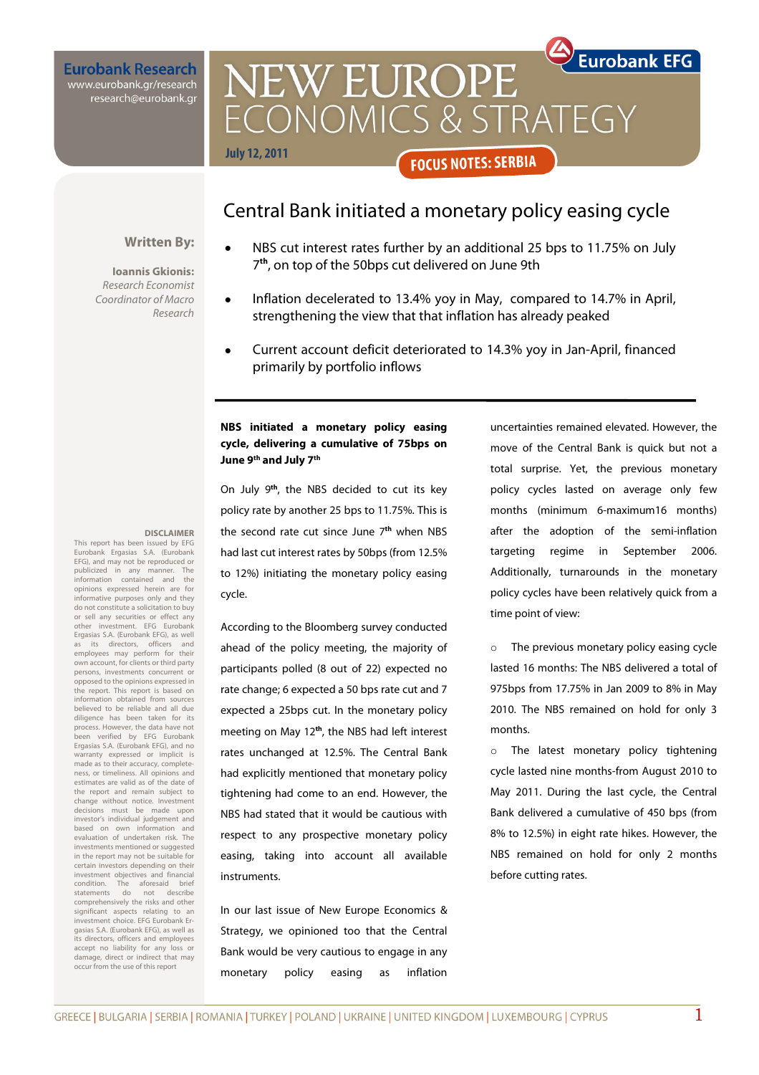**Eurobank Research** www.eurobank.gr/research research@eurobank.gr

# **Eurobank EFG NEW EUROPE** CONOMICS & STRATEGY **July 12, 2011 FOCUS NOTES: SERBIA**

# Central Bank initiated a monetary policy easing cycle

### **Written By:**

#### **Ioannis Gkionis:**

**DISCLAIMER** 

This report has been issued by EFG Eurobank Ergasias S.A. (Eurobank EFG), and may not be reproduced or publicized in any manner. The information contained and the opinions expressed herein are for informative purposes only and they do not constitute a solicitation to buy or sell any securities or effect any other investment. EFG Eurobank Ergasias S.A. (Eurobank EFG), as well as its directors, officers and employees may perform for their own account, for clients or third party persons, investments concurrent or opposed to the opinions expressed in the report. This report is based on information obtained from sources believed to be reliable and all due diligence has been taken for its process. However, the data have not been verified by EFG Eurobank Ergasias S.A. (Eurobank EFG), and no warranty expressed or implicit is made as to their accuracy, completeness, or timeliness. All opinions and estimates are valid as of the date of the report and remain subject to change without notice. Investment decisions must be made upon investor's individual judgement and based on own information and evaluation of undertaken risk. The investments mentioned or suggested in the report may not be suitable for certain investors depending on their investment objectives and financial condition. The aforesaid brief statements do not describe comprehensively the risks and other significant aspects relating to an investment choice. EFG Eurobank Ergasias S.A. (Eurobank EFG), as well as its directors, officers and employees accept no liability for any loss or damage, direct or indirect that may occur from the use of this report

Research Economist Coordinator of Macro Research

## • NBS cut interest rates further by an additional 25 bps to 11.75% on July 7 **th**, on top of the 50bps cut delivered on June 9th

- Inflation decelerated to 13.4% yoy in May, compared to 14.7% in April, strengthening the view that that inflation has already peaked
- Current account deficit deteriorated to 14.3% yoy in Jan-April, financed primarily by portfolio inflows

### **NBS initiated a monetary policy easing cycle, delivering a cumulative of 75bps on June 9th and July 7th**

On July 9**th**, the NBS decided to cut its key policy rate by another 25 bps to 11.75%. This is the second rate cut since June 7**th** when NBS had last cut interest rates by 50bps (from 12.5% to 12%) initiating the monetary policy easing cycle.

According to the Bloomberg survey conducted ahead of the policy meeting, the majority of participants polled (8 out of 22) expected no rate change; 6 expected a 50 bps rate cut and 7 expected a 25bps cut. In the monetary policy meeting on May 12**th**, the NBS had left interest rates unchanged at 12.5%. The Central Bank had explicitly mentioned that monetary policy tightening had come to an end. However, the NBS had stated that it would be cautious with respect to any prospective monetary policy easing, taking into account all available instruments.

In our last issue of New Europe Economics & Strategy, we opinioned too that the Central Bank would be very cautious to engage in any monetary policy easing as inflation

uncertainties remained elevated. However, the move of the Central Bank is quick but not a total surprise. Yet, the previous monetary policy cycles lasted on average only few months (minimum 6-maximum16 months) after the adoption of the semi-inflation targeting regime in September 2006. Additionally, turnarounds in the monetary policy cycles have been relatively quick from a time point of view:

o The previous monetary policy easing cycle lasted 16 months: The NBS delivered a total of 975bps from 17.75% in Jan 2009 to 8% in May 2010. The NBS remained on hold for only 3 months.

o The latest monetary policy tightening cycle lasted nine months-from August 2010 to May 2011. During the last cycle, the Central Bank delivered a cumulative of 450 bps (from 8% to 12.5%) in eight rate hikes. However, the NBS remained on hold for only 2 months before cutting rates.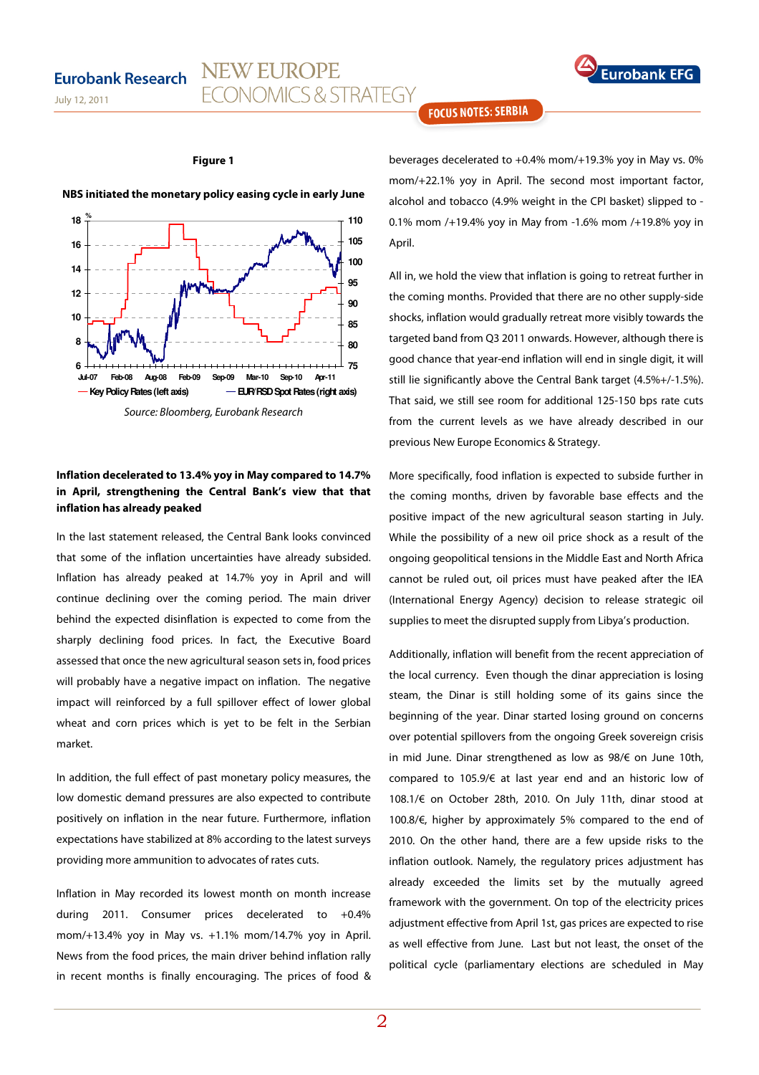## **Eurobank Research**





#### **Figure 1**

NEW EUROPE

**FCONOMICS & STRATEGY** 



**NBS initiated the monetary policy easing cycle in early June** 

Source: Bloomberg, Eurobank Research

## **Inflation decelerated to 13.4% yoy in May compared to 14.7% in April, strengthening the Central Bank's view that that inflation has already peaked**

In the last statement released, the Central Bank looks convinced that some of the inflation uncertainties have already subsided. Inflation has already peaked at 14.7% yoy in April and will continue declining over the coming period. The main driver behind the expected disinflation is expected to come from the sharply declining food prices. In fact, the Executive Board assessed that once the new agricultural season sets in, food prices will probably have a negative impact on inflation. The negative impact will reinforced by a full spillover effect of lower global wheat and corn prices which is yet to be felt in the Serbian market.

In addition, the full effect of past monetary policy measures, the low domestic demand pressures are also expected to contribute positively on inflation in the near future. Furthermore, inflation expectations have stabilized at 8% according to the latest surveys providing more ammunition to advocates of rates cuts.

Inflation in May recorded its lowest month on month increase during 2011. Consumer prices decelerated to +0.4% mom/+13.4% yoy in May vs. +1.1% mom/14.7% yoy in April. News from the food prices, the main driver behind inflation rally in recent months is finally encouraging. The prices of food & **FOCUS NOTES: SERBIA** 

beverages decelerated to +0.4% mom/+19.3% yoy in May vs. 0% mom/+22.1% yoy in April. The second most important factor, alcohol and tobacco (4.9% weight in the CPI basket) slipped to - 0.1% mom /+19.4% yoy in May from -1.6% mom /+19.8% yoy in April.

All in, we hold the view that inflation is going to retreat further in the coming months. Provided that there are no other supply-side shocks, inflation would gradually retreat more visibly towards the targeted band from Q3 2011 onwards. However, although there is good chance that year-end inflation will end in single digit, it will still lie significantly above the Central Bank target (4.5%+/-1.5%). That said, we still see room for additional 125-150 bps rate cuts from the current levels as we have already described in our previous New Europe Economics & Strategy.

More specifically, food inflation is expected to subside further in the coming months, driven by favorable base effects and the positive impact of the new agricultural season starting in July. While the possibility of a new oil price shock as a result of the ongoing geopolitical tensions in the Middle East and North Africa cannot be ruled out, oil prices must have peaked after the IEA (International Energy Agency) decision to release strategic oil supplies to meet the disrupted supply from Libya's production.

Additionally, inflation will benefit from the recent appreciation of the local currency. Even though the dinar appreciation is losing steam, the Dinar is still holding some of its gains since the beginning of the year. Dinar started losing ground on concerns over potential spillovers from the ongoing Greek sovereign crisis in mid June. Dinar strengthened as low as 98/€ on June 10th, compared to 105.9/€ at last year end and an historic low of 108.1/€ on October 28th, 2010. On July 11th, dinar stood at 100.8/€, higher by approximately 5% compared to the end of 2010. On the other hand, there are a few upside risks to the inflation outlook. Namely, the regulatory prices adjustment has already exceeded the limits set by the mutually agreed framework with the government. On top of the electricity prices adjustment effective from April 1st, gas prices are expected to rise as well effective from June. Last but not least, the onset of the political cycle (parliamentary elections are scheduled in May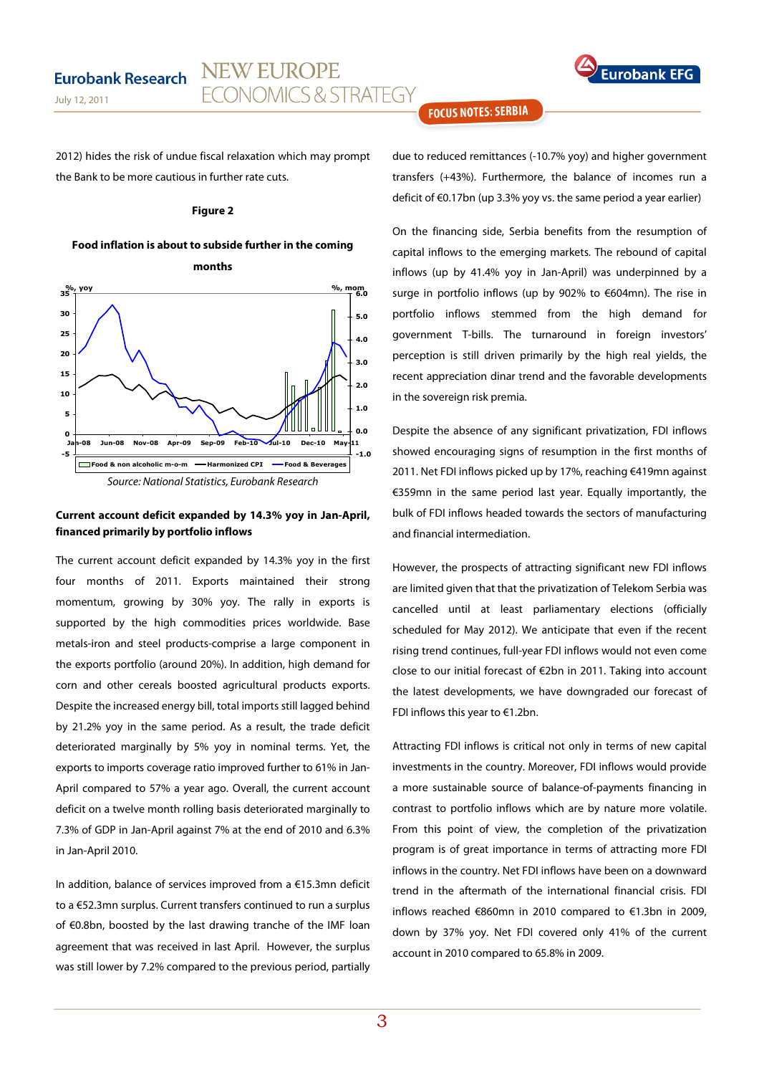

July 12, 2011

2012) hides the risk of undue fiscal relaxation which may prompt the Bank to be more cautious in further rate cuts.

NEW EUROPE

**FCONOMICS & STRATEGY** 

#### **Figure 2**

### **Food inflation is about to subside further in the coming**





## **Current account deficit expanded by 14.3% yoy in Jan-April, financed primarily by portfolio inflows**

The current account deficit expanded by 14.3% yoy in the first four months of 2011. Exports maintained their strong momentum, growing by 30% yoy. The rally in exports is supported by the high commodities prices worldwide. Base metals-iron and steel products-comprise a large component in the exports portfolio (around 20%). In addition, high demand for corn and other cereals boosted agricultural products exports. Despite the increased energy bill, total imports still lagged behind by 21.2% yoy in the same period. As a result, the trade deficit deteriorated marginally by 5% yoy in nominal terms. Yet, the exports to imports coverage ratio improved further to 61% in Jan-April compared to 57% a year ago. Overall, the current account deficit on a twelve month rolling basis deteriorated marginally to 7.3% of GDP in Jan-April against 7% at the end of 2010 and 6.3% in Jan-April 2010.

In addition, balance of services improved from a €15.3mn deficit to a €52.3mn surplus. Current transfers continued to run a surplus of €0.8bn, boosted by the last drawing tranche of the IMF loan agreement that was received in last April. However, the surplus was still lower by 7.2% compared to the previous period, partially

## **FOCUS NOTES: SERBIA**

due to reduced remittances (-10.7% yoy) and higher government transfers (+43%). Furthermore, the balance of incomes run a deficit of €0.17bn (up 3.3% yoy vs. the same period a year earlier)

On the financing side, Serbia benefits from the resumption of capital inflows to the emerging markets. The rebound of capital inflows (up by 41.4% yoy in Jan-April) was underpinned by a surge in portfolio inflows (up by 902% to €604mn). The rise in portfolio inflows stemmed from the high demand for government T-bills. The turnaround in foreign investors' perception is still driven primarily by the high real yields, the recent appreciation dinar trend and the favorable developments in the sovereign risk premia.

Despite the absence of any significant privatization, FDI inflows showed encouraging signs of resumption in the first months of 2011. Net FDI inflows picked up by 17%, reaching €419mn against €359mn in the same period last year. Equally importantly, the bulk of FDI inflows headed towards the sectors of manufacturing and financial intermediation.

However, the prospects of attracting significant new FDI inflows are limited given that that the privatization of Telekom Serbia was cancelled until at least parliamentary elections (officially scheduled for May 2012). We anticipate that even if the recent rising trend continues, full-year FDI inflows would not even come close to our initial forecast of €2bn in 2011. Taking into account the latest developments, we have downgraded our forecast of FDI inflows this year to €1.2bn.

Attracting FDI inflows is critical not only in terms of new capital investments in the country. Moreover, FDI inflows would provide a more sustainable source of balance-of-payments financing in contrast to portfolio inflows which are by nature more volatile. From this point of view, the completion of the privatization program is of great importance in terms of attracting more FDI inflows in the country. Net FDI inflows have been on a downward trend in the aftermath of the international financial crisis. FDI inflows reached €860mn in 2010 compared to €1.3bn in 2009, down by 37% yoy. Net FDI covered only 41% of the current account in 2010 compared to 65.8% in 2009.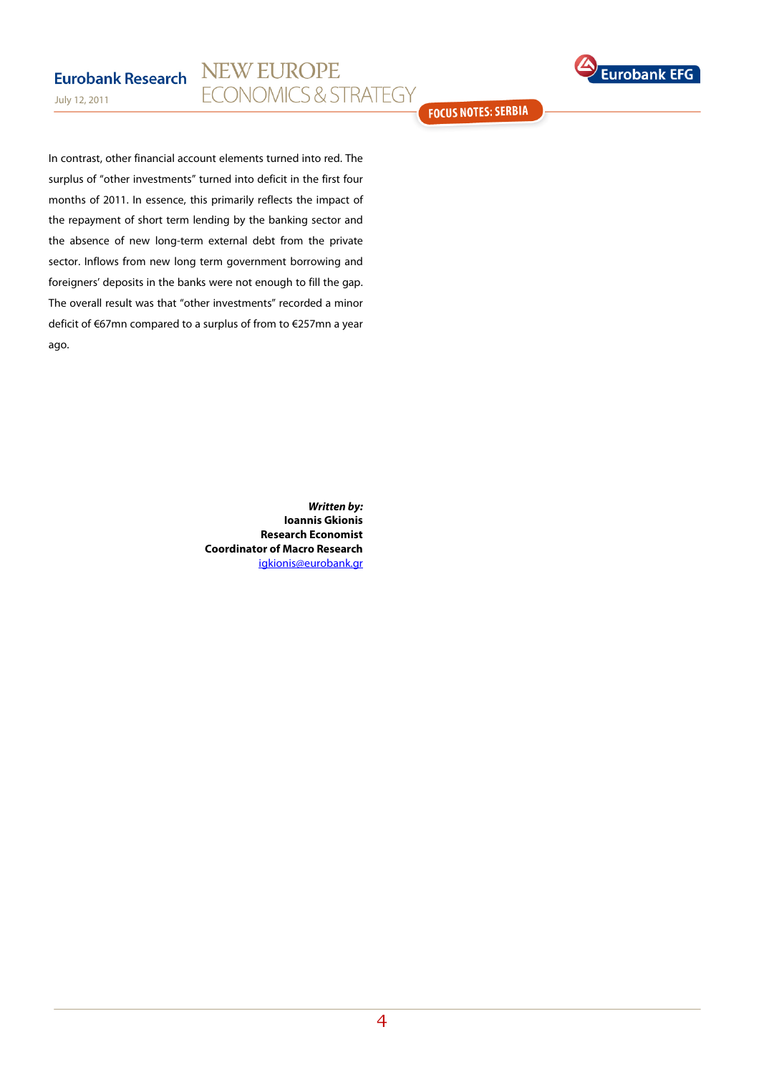## NEW EUROPE **Eurobank Research ECONOMICS & STRATEGY**



July 12, 2011

In contrast, other financial account elements turned into red. The surplus of "other investments" turned into deficit in the first four months of 2011. In essence, this primarily reflects the impact of the repayment of short term lending by the banking sector and the absence of new long-term external debt from the private sector. Inflows from new long term government borrowing and foreigners' deposits in the banks were not enough to fill the gap. The overall result was that "other investments" recorded a minor deficit of €67mn compared to a surplus of from to €257mn a year ago.

> **Written by: Ioannis Gkionis Research Economist Coordinator of Macro Research**  igkionis@eurobank.gr

**FOCUS NOTES: SERBIA**